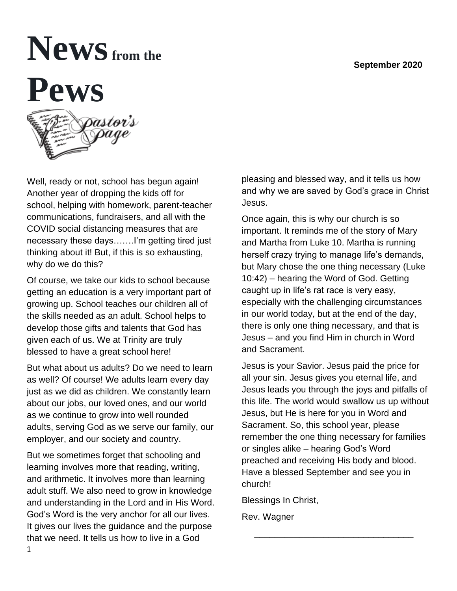#### **September 2020**

# **Newsfrom the Pews**

Well, ready or not, school has begun again! Another year of dropping the kids off for school, helping with homework, parent-teacher communications, fundraisers, and all with the COVID social distancing measures that are necessary these days…….I'm getting tired just thinking about it! But, if this is so exhausting, why do we do this?

Of course, we take our kids to school because getting an education is a very important part of growing up. School teaches our children all of the skills needed as an adult. School helps to develop those gifts and talents that God has given each of us. We at Trinity are truly blessed to have a great school here!

But what about us adults? Do we need to learn as well? Of course! We adults learn every day just as we did as children. We constantly learn about our jobs, our loved ones, and our world as we continue to grow into well rounded adults, serving God as we serve our family, our employer, and our society and country.

But we sometimes forget that schooling and learning involves more that reading, writing, and arithmetic. It involves more than learning adult stuff. We also need to grow in knowledge and understanding in the Lord and in His Word. God's Word is the very anchor for all our lives. It gives our lives the guidance and the purpose that we need. It tells us how to live in a God

pleasing and blessed way, and it tells us how and why we are saved by God's grace in Christ Jesus.

Once again, this is why our church is so important. It reminds me of the story of Mary and Martha from Luke 10. Martha is running herself crazy trying to manage life's demands, but Mary chose the one thing necessary (Luke 10:42) – hearing the Word of God. Getting caught up in life's rat race is very easy, especially with the challenging circumstances in our world today, but at the end of the day, there is only one thing necessary, and that is Jesus – and you find Him in church in Word and Sacrament.

Jesus is your Savior. Jesus paid the price for all your sin. Jesus gives you eternal life, and Jesus leads you through the joys and pitfalls of this life. The world would swallow us up without Jesus, but He is here for you in Word and Sacrament. So, this school year, please remember the one thing necessary for families or singles alike – hearing God's Word preached and receiving His body and blood. Have a blessed September and see you in church!

\_\_\_\_\_\_\_\_\_\_\_\_\_\_\_\_\_\_\_\_\_\_\_\_\_\_\_\_\_\_\_\_

Blessings In Christ,

Rev. Wagner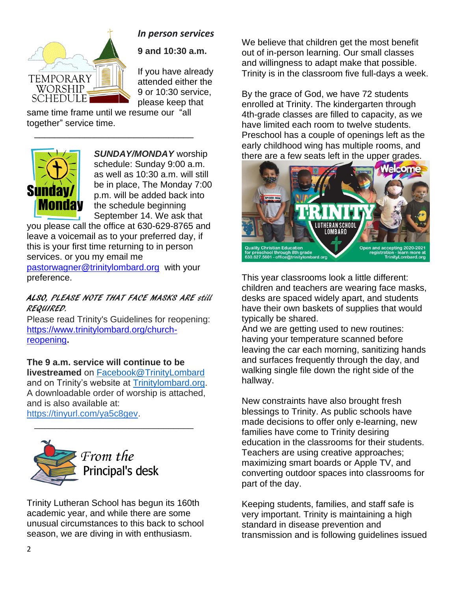

#### *In person services*

**9 and 10:30 a.m.** 

If you have already attended either the 9 or 10:30 service, please keep that

same time frame until we resume our "all together" service time.

 $\overline{\phantom{a}}$  , and the contract of the contract of the contract of the contract of the contract of the contract of the contract of the contract of the contract of the contract of the contract of the contract of the contrac



*SUNDAY/MONDAY* worship schedule: Sunday 9:00 a.m. as well as 10:30 a.m. will still be in place, The Monday 7:00 p.m. will be added back into the schedule beginning September 14. We ask that

you please call the office at 630-629-8765 and leave a voicemail as to your preferred day, if this is your first time returning to in person services. or you my email me

[pastorwagner@trinitylombard.org](mailto:pastorwagner@trinitylombard.org) with your preference.

#### ALSO, PLEASE NOTE THAT FACE MASKS ARE still REQUIRED.

Please read Trinity's Guidelines for reopening: [https://www.trinitylombard.org/church](https://www.trinitylombard.org/church-reopening)[reopening](https://www.trinitylombard.org/church-reopening)**.**

#### **The 9 a.m. service will continue to be**

**livestreamed** on [Facebook@TrinityLombard](https://www.facebook.com/TrinityLombard/) and on Trinity's website at [Trinitylombard.org.](https://www.trinitylombard.org/) A downloadable order of worship is attached, and is also available at: [https://tinyurl.com/ya5c8gev.](https://tinyurl.com/ya5c8gev)

 $\overline{\phantom{a}}$  , and the set of the set of the set of the set of the set of the set of the set of the set of the set of the set of the set of the set of the set of the set of the set of the set of the set of the set of the s



Trinity Lutheran School has begun its 160th academic year, and while there are some unusual circumstances to this back to school season, we are diving in with enthusiasm.

We believe that children get the most benefit out of in-person learning. Our small classes and willingness to adapt make that possible. Trinity is in the classroom five full-days a week.

By the grace of God, we have 72 students enrolled at Trinity. The kindergarten through 4th-grade classes are filled to capacity, as we have limited each room to twelve students. Preschool has a couple of openings left as the early childhood wing has multiple rooms, and there are a few seats left in the upper grades.



This year classrooms look a little different: children and teachers are wearing face masks, desks are spaced widely apart, and students have their own baskets of supplies that would typically be shared.

And we are getting used to new routines: having your temperature scanned before leaving the car each morning, sanitizing hands and surfaces frequently through the day, and walking single file down the right side of the hallway.

New constraints have also brought fresh blessings to Trinity. As public schools have made decisions to offer only e-learning, new families have come to Trinity desiring education in the classrooms for their students. Teachers are using creative approaches; maximizing smart boards or Apple TV, and converting outdoor spaces into classrooms for part of the day.

Keeping students, families, and staff safe is very important. Trinity is maintaining a high standard in disease prevention and transmission and is following guidelines issued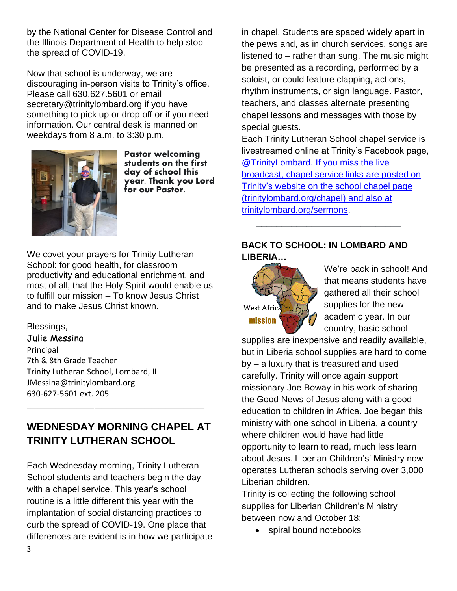by the National Center for Disease Control and the Illinois Department of Health to help stop the spread of COVID-19.

Now that school is underway, we are discouraging in-person visits to Trinity's office. Please call 630.627.5601 or email secretary@trinitylombard.org if you have something to pick up or drop off or if you need information. Our central desk is manned on weekdays from 8 a.m. to 3:30 p.m.



Pastor welcoming students on the first day of school this year. Thank you Lord for our Pastor.

We covet your prayers for Trinity Lutheran School: for good health, for classroom productivity and educational enrichment, and most of all, that the Holy Spirit would enable us to fulfill our mission – To know Jesus Christ and to make Jesus Christ known.

Blessings,

Julie Messina Principal 7th & 8th Grade Teacher Trinity Lutheran School, Lombard, IL JMessina@trinitylombard.org 630-627-5601 ext. 205

# **WEDNESDAY MORNING CHAPEL AT TRINITY LUTHERAN SCHOOL**

\_\_\_\_\_\_\_\_\_\_\_\_\_\_\_\_\_\_\_\_\_\_\_\_\_\_\_\_\_\_\_\_\_\_\_\_\_\_\_\_\_\_\_\_\_\_\_\_\_\_

Each Wednesday morning, Trinity Lutheran School students and teachers begin the day with a chapel service. This year's school routine is a little different this year with the implantation of social distancing practices to curb the spread of COVID-19. One place that differences are evident is in how we participate in chapel. Students are spaced widely apart in the pews and, as in church services, songs are listened to – rather than sung. The music might be presented as a recording, performed by a soloist, or could feature clapping, actions, rhythm instruments, or sign language. Pastor, teachers, and classes alternate presenting chapel lessons and messages with those by special guests.

Each Trinity Lutheran School chapel service is livestreamed online at Trinity's Facebook page, [@TrinityLombard.](about:blank) If you miss the live broadcast, chapel service links are posted on Trinity's website on the school chapel page [\(trinitylombard.org/chapel\)](about:blank) and also at [trinitylombard.org/sermons.](about:blank)  $\frac{1}{2}$  ,  $\frac{1}{2}$  ,  $\frac{1}{2}$  ,  $\frac{1}{2}$  ,  $\frac{1}{2}$  ,  $\frac{1}{2}$  ,  $\frac{1}{2}$  ,  $\frac{1}{2}$  ,  $\frac{1}{2}$  ,  $\frac{1}{2}$  ,  $\frac{1}{2}$  ,  $\frac{1}{2}$  ,  $\frac{1}{2}$  ,  $\frac{1}{2}$  ,  $\frac{1}{2}$  ,  $\frac{1}{2}$  ,  $\frac{1}{2}$  ,  $\frac{1}{2}$  ,  $\frac{1$ 

#### **BACK TO SCHOOL: IN LOMBARD AND LIBERIA…**



We're back in school! And that means students have gathered all their school supplies for the new academic year. In our country, basic school

supplies are inexpensive and readily available, but in Liberia school supplies are hard to come by – a luxury that is treasured and used carefully. Trinity will once again support missionary Joe Boway in his work of sharing the Good News of Jesus along with a good education to children in Africa. Joe began this ministry with one school in Liberia, a country where children would have had little opportunity to learn to read, much less learn about Jesus. Liberian Children's' Ministry now operates Lutheran schools serving over 3,000 Liberian children.

Trinity is collecting the following school supplies for Liberian Children's Ministry between now and October 18:

• spiral bound notebooks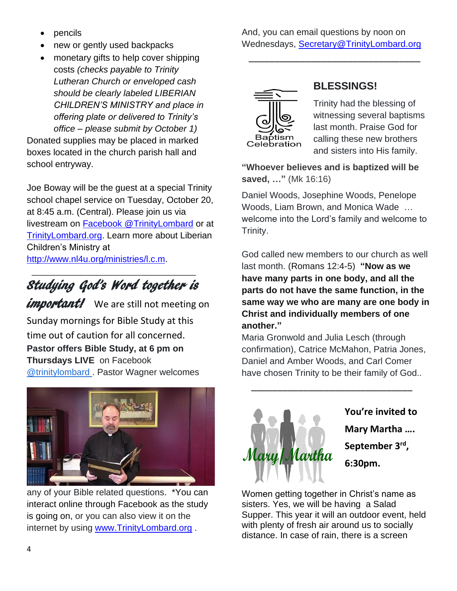- **pencils**
- new or gently used backpacks
- monetary gifts to help cover shipping costs *(checks payable to Trinity Lutheran Church or enveloped cash should be clearly labeled LIBERIAN CHILDREN'S MINISTRY and place in offering plate or delivered to Trinity's office – please submit by October 1)*

Donated supplies may be placed in marked boxes located in the church parish hall and school entryway.

Joe Boway will be the guest at a special Trinity school chapel service on Tuesday, October 20, at 8:45 a.m. (Central). Please join us via livestream on [Facebook @TrinityLombard](about:blank) or at [TrinityLombard.org.](about:blank) Learn more about Liberian Children's Ministry at [http://www.nl4u.org/ministries/l.c.m.](about:blank)

 $\frac{1}{2}$  , and the set of the set of the set of the set of the set of the set of the set of the set of the set of the set of the set of the set of the set of the set of the set of the set of the set of the set of the set Studying God's Word together is

**important!** We are still not meeting on Sunday mornings for Bible Study at this time out of caution for all concerned. **Pastor offers Bible Study, at 6 pm on Thursdays LIVE** on Facebook **[@trinitylombard](https://www.facebook.com/TrinityLombard/). Pastor Wagner welcomes** 



any of your Bible related questions. \*You can interact online through Facebook as the study is going on, or you can also view it on the internet by using [www.TrinityLombard.org](http://www.trinitylombard.org/).

And, you can email questions by noon on Wednesdays, [Secretary@TrinityLombard.org](mailto:Secretary@TrinityLombard.org)

\_\_\_\_\_\_\_\_\_\_\_\_\_\_\_\_\_\_\_\_\_\_\_\_\_\_\_\_\_\_\_\_\_



# **BLESSINGS!**

Trinity had the blessing of witnessing several baptisms last month. Praise God for calling these new brothers and sisters into His family.

**"Whoever believes and is baptized will be saved, …"** (Mk 16:16)

Daniel Woods, Josephine Woods, Penelope Woods, Liam Brown, and Monica Wade … welcome into the Lord's family and welcome to Trinity.

God called new members to our church as well last month. (Romans 12:4-5) **"Now as we have many parts in one body, and all the parts do not have the same function, in the same way we who are many are one body in Christ and individually members of one another."**

Maria Gronwold and Julia Lesch (through confirmation), Catrice McMahon, Patria Jones, Daniel and Amber Woods, and Carl Comer have chosen Trinity to be their family of God..

 $\overline{\phantom{a}}$  , and the set of the set of the set of the set of the set of the set of the set of the set of the set of the set of the set of the set of the set of the set of the set of the set of the set of the set of the s



**You're invited to Mary Martha …. September 3rd , 6:30pm.**

Women getting together in Christ's name as sisters. Yes, we will be having a Salad Supper. This year it will an outdoor event, held with plenty of fresh air around us to socially distance. In case of rain, there is a screen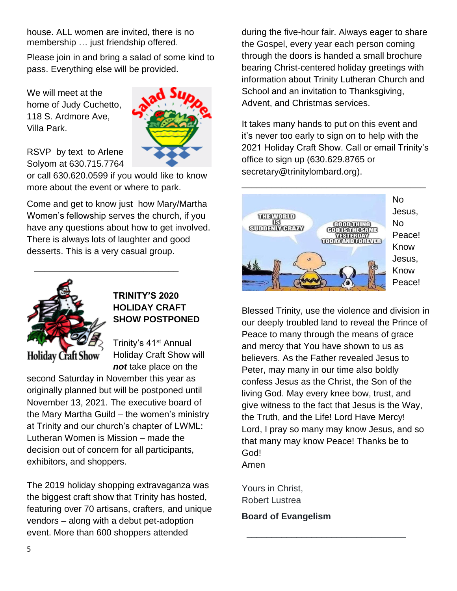house. ALL women are invited, there is no membership … just friendship offered.

Please join in and bring a salad of some kind to pass. Everything else will be provided.

We will meet at the home of Judy Cuchetto, 118 S. Ardmore Ave, Villa Park.



RSVP by text to Arlene Solyom at 630.715.7764

or call 630.620.0599 if you would like to know more about the event or where to park.

Come and get to know just how Mary/Martha Women's fellowship serves the church, if you have any questions about how to get involved. There is always lots of laughter and good desserts. This is a very casual group.

 $\overline{\phantom{a}}$  , which is the set of the set of the set of the set of the set of the set of the set of the set of the set of the set of the set of the set of the set of the set of the set of the set of the set of the set of



#### **TRINITY'S 2020 HOLIDAY CRAFT SHOW POSTPONED**

Trinity's 41<sup>st</sup> Annual Holiday Craft Show will *not* take place on the

second Saturday in November this year as originally planned but will be postponed until November 13, 2021. The executive board of the Mary Martha Guild – the women's ministry at Trinity and our church's chapter of LWML: Lutheran Women is Mission – made the decision out of concern for all participants, exhibitors, and shoppers.

The 2019 holiday shopping extravaganza was the biggest craft show that Trinity has hosted, featuring over 70 artisans, crafters, and unique vendors – along with a debut pet-adoption event. More than 600 shoppers attended

during the five-hour fair. Always eager to share the Gospel, every year each person coming through the doors is handed a small brochure bearing Christ-centered holiday greetings with information about Trinity Lutheran Church and School and an invitation to Thanksgiving, Advent, and Christmas services.

It takes many hands to put on this event and it's never too early to sign on to help with the 2021 Holiday Craft Show. Call or email Trinity's office to sign up (630.629.8765 or secretary@trinitylombard.org).



Blessed Trinity, use the violence and division in our deeply troubled land to reveal the Prince of Peace to many through the means of grace and mercy that You have shown to us as believers. As the Father revealed Jesus to Peter, may many in our time also boldly confess Jesus as the Christ, the Son of the living God. May every knee bow, trust, and give witness to the fact that Jesus is the Way, the Truth, and the Life! Lord Have Mercy! Lord, I pray so many may know Jesus, and so that many may know Peace! Thanks be to God! Amen

\_\_\_\_\_\_\_\_\_\_\_\_\_\_\_\_\_\_\_\_\_\_\_\_\_\_\_\_\_\_\_\_

Yours in Christ, Robert Lustrea

**Board of Evangelism**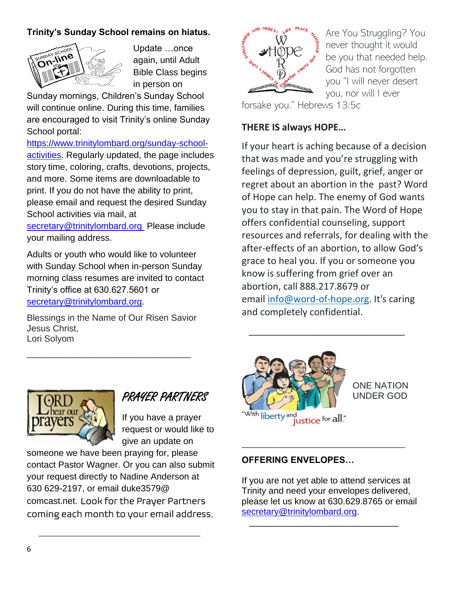#### **Trinity's Sunday School remains on hiatus.**



Update …once again, until Adult Bible Class begins in person on

Sunday mornings, Children's Sunday School will continue online. During this time, families are encouraged to visit Trinity's online Sunday School portal:

[https://www.trinitylombard.org/sunday-school](about:blank)[activities.](about:blank) Regularly updated, the page includes story time, coloring, crafts, devotions, projects, and more. Some items are downloadable to print. If you do not have the ability to print, please email and request the desired Sunday School activities via mail, at

[secretary@trinitylombard.org](about:blank) Please include your mailing address.

Adults or youth who would like to volunteer with Sunday School when in-person Sunday morning class resumes are invited to contact Trinity's office at 630.627.5601 or [secretary@trinitylombard.org.](about:blank)

Blessings in the Name of Our Risen Savior Jesus Christ, Lori Solyom

\_\_\_\_\_\_\_\_\_\_\_\_\_\_\_\_\_\_\_\_\_\_\_\_\_\_\_\_\_\_\_\_\_



Are You Struggling? You never thought it would be you that needed help. God has not forgotten you "I will never desert you, nor will I ever

forsake you." Hebrews 13:5c

#### **THERE IS always HOPE…**

If your heart is aching because of a decision that was made and you're struggling with feelings of depression, guilt, grief, anger or regret about an abortion in the past? Word of Hope can help. The enemy of God wants you to stay in that pain. The Word of Hope offers confidential counseling, support resources and referrals, for dealing with the after-effects of an abortion, to allow God's grace to heal you. If you or someone you know is suffering from grief over an abortion, call 888.217.8679 or email [info@word-of-hope.org.](mailto:info@word-of-hope.org) It's caring and completely confidential.

 $\overline{\phantom{a}}$  , and the state of the state of the state of the state of the state of the state of the state of the state of the state of the state of the state of the state of the state of the state of the state of the stat



#### ONE NATION UNDER GOD



PRAYER PARTNERS

If you have a prayer request or would like to give an update on

someone we have been praying for, please contact Pastor Wagner. Or you can also submit your request directly to Nadine Anderson at 630 629-2197, or email duke3579@ comcast.net. Look for the Prayer Partners coming each month to your email address.

 $\overline{\phantom{a}}$  ,  $\overline{\phantom{a}}$  ,  $\overline{\phantom{a}}$  ,  $\overline{\phantom{a}}$  ,  $\overline{\phantom{a}}$  ,  $\overline{\phantom{a}}$  ,  $\overline{\phantom{a}}$  ,  $\overline{\phantom{a}}$  ,  $\overline{\phantom{a}}$  ,  $\overline{\phantom{a}}$  ,  $\overline{\phantom{a}}$  ,  $\overline{\phantom{a}}$  ,  $\overline{\phantom{a}}$  ,  $\overline{\phantom{a}}$  ,  $\overline{\phantom{a}}$  ,  $\overline{\phantom{a}}$ 

#### **OFFERING ENVELOPES…**

If you are not yet able to attend services at Trinity and need your envelopes delivered, please let us know at 630.629.8765 or email [secretary@trinitylombard.org.](mailto:secretary@trinitylombard.org)

 $\overline{\phantom{a}...}$  ,  $\overline{\phantom{a}...}$  ,  $\overline{\phantom{a}...}$  ,  $\overline{\phantom{a}...}$  ,  $\overline{\phantom{a}...}$  ,  $\overline{\phantom{a}...}$  ,  $\overline{\phantom{a}...}$  ,  $\overline{\phantom{a}...}$  ,  $\overline{\phantom{a}...}$  ,  $\overline{\phantom{a}...}$  ,  $\overline{\phantom{a}...}$  ,  $\overline{\phantom{a}...}$  ,  $\overline{\phantom{a}...}$  ,  $\overline{\phantom{a}...}$ 

\_\_\_\_\_\_\_\_\_\_\_\_\_\_\_\_\_\_\_\_\_\_\_\_\_\_\_\_\_\_\_\_\_\_\_\_\_\_\_\_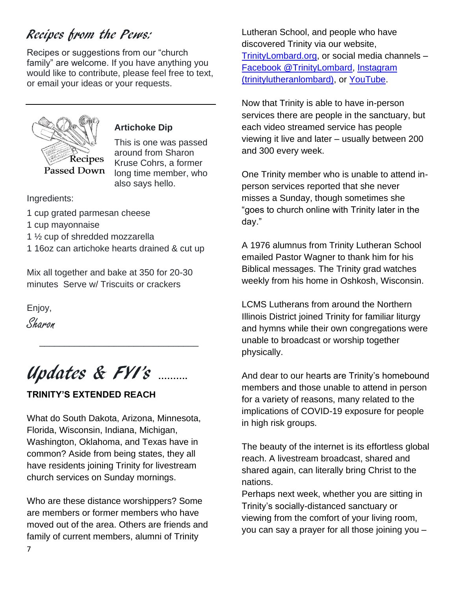# Recipes from the Pews:

Recipes or suggestions from our "church family" are welcome. If you have anything you would like to contribute, please feel free to text, or email your ideas or your requests.



#### **Artichoke Dip**

This is one was passed around from Sharon Kruse Cohrs, a former long time member, who also says hello.

Ingredients:

- 1 cup grated parmesan cheese
- 1 cup mayonnaise
- 1 ½ cup of shredded mozzarella
- 1 16oz can artichoke hearts drained & cut up

Mix all together and bake at 350 for 20-30 minutes Serve w/ Triscuits or crackers

Enjoy, Sharon

Updates & FYI's **……….**

 $\frac{1}{\sqrt{2}}$  ,  $\frac{1}{\sqrt{2}}$  ,  $\frac{1}{\sqrt{2}}$  ,  $\frac{1}{\sqrt{2}}$  ,  $\frac{1}{\sqrt{2}}$  ,  $\frac{1}{\sqrt{2}}$  ,  $\frac{1}{\sqrt{2}}$  ,  $\frac{1}{\sqrt{2}}$  ,  $\frac{1}{\sqrt{2}}$  ,  $\frac{1}{\sqrt{2}}$  ,  $\frac{1}{\sqrt{2}}$  ,  $\frac{1}{\sqrt{2}}$  ,  $\frac{1}{\sqrt{2}}$  ,  $\frac{1}{\sqrt{2}}$  ,  $\frac{1}{\sqrt{2}}$ 

### **TRINITY'S EXTENDED REACH**

What do South Dakota, Arizona, Minnesota, Florida, Wisconsin, Indiana, Michigan, Washington, Oklahoma, and Texas have in common? Aside from being states, they all have residents joining Trinity for livestream church services on Sunday mornings.

Who are these distance worshippers? Some are members or former members who have moved out of the area. Others are friends and family of current members, alumni of Trinity

Lutheran School, and people who have discovered Trinity via our website, [TrinityLombard.org,](about:blank) or social media channels – [Facebook @TrinityLombard, Instagram](about:blank)  [\(trinitylutheranlombard\),](about:blank) or [YouTube.](about:blank)

Now that Trinity is able to have in-person services there are people in the sanctuary, but each video streamed service has people viewing it live and later – usually between 200 and 300 every week.

One Trinity member who is unable to attend inperson services reported that she never misses a Sunday, though sometimes she "goes to church online with Trinity later in the day."

A 1976 alumnus from Trinity Lutheran School emailed Pastor Wagner to thank him for his Biblical messages. The Trinity grad watches weekly from his home in Oshkosh, Wisconsin.

LCMS Lutherans from around the Northern Illinois District joined Trinity for familiar liturgy and hymns while their own congregations were unable to broadcast or worship together physically.

And dear to our hearts are Trinity's homebound members and those unable to attend in person for a variety of reasons, many related to the implications of COVID-19 exposure for people in high risk groups.

The beauty of the internet is its effortless global reach. A livestream broadcast, shared and shared again, can literally bring Christ to the nations.

Perhaps next week, whether you are sitting in Trinity's socially-distanced sanctuary or viewing from the comfort of your living room, you can say a prayer for all those joining you –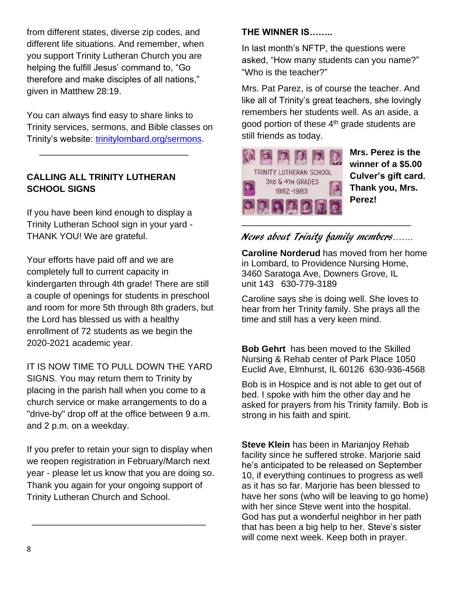from different states, diverse zip codes, and different life situations. And remember, when you support Trinity Lutheran Church you are helping the fulfill Jesus' command to, "Go therefore and make disciples of all nations," given in Matthew 28:19.

You can always find easy to share links to Trinity services, sermons, and Bible classes on Trinity's website: [trinitylombard.org/sermons.](about:blank)

#### **CALLING ALL TRINITY LUTHERAN SCHOOL SIGNS**

 $\frac{1}{\sqrt{2}}$  ,  $\frac{1}{\sqrt{2}}$  ,  $\frac{1}{\sqrt{2}}$  ,  $\frac{1}{\sqrt{2}}$  ,  $\frac{1}{\sqrt{2}}$  ,  $\frac{1}{\sqrt{2}}$  ,  $\frac{1}{\sqrt{2}}$  ,  $\frac{1}{\sqrt{2}}$  ,  $\frac{1}{\sqrt{2}}$  ,  $\frac{1}{\sqrt{2}}$  ,  $\frac{1}{\sqrt{2}}$  ,  $\frac{1}{\sqrt{2}}$  ,  $\frac{1}{\sqrt{2}}$  ,  $\frac{1}{\sqrt{2}}$  ,  $\frac{1}{\sqrt{2}}$ 

If you have been kind enough to display a Trinity Lutheran School sign in your yard - THANK YOU! We are grateful.

Your efforts have paid off and we are completely full to current capacity in kindergarten through 4th grade! There are still a couple of openings for students in preschool and room for more 5th through 8th graders, but the Lord has blessed us with a healthy enrollment of 72 students as we begin the 2020-2021 academic year.

IT IS NOW TIME TO PULL DOWN THE YARD SIGNS. You may return them to Trinity by placing in the parish hall when you come to a church service or make arrangements to do a "drive-by" drop off at the office between 9 a.m. and 2 p.m. on a weekday.

If you prefer to retain your sign to display when we reopen registration in February/March next year - please let us know that you are doing so. Thank you again for your ongoing support of Trinity Lutheran Church and School.

\_\_\_\_\_\_\_\_\_\_\_\_\_\_\_\_\_\_\_\_\_\_\_\_\_\_\_\_\_\_\_\_\_\_\_

#### **THE WINNER IS……..**

In last month's NFTP, the questions were asked, "How many students can you name?" "Who is the teacher?"

Mrs. Pat Parez, is of course the teacher. And like all of Trinity's great teachers, she lovingly remembers her students well. As an aside, a good portion of these 4<sup>th</sup> grade students are still friends as today.



**Mrs. Perez is the winner of a \$5.00 Culver's gift card. Thank you, Mrs. Perez!**

## News about Trinity family members…….

**Caroline Norderud** has moved from her home in Lombard, to Providence Nursing Home, 3460 Saratoga Ave, Downers Grove, IL unit 143 630-779-3189

Caroline says she is doing well. She loves to hear from her Trinity family. She prays all the time and still has a very keen mind.

**Bob Gehrt** has been moved to the Skilled Nursing & Rehab center of Park Place 1050 Euclid Ave, Elmhurst, IL 60126 630-936-4568

Bob is in Hospice and is not able to get out of bed. I spoke with him the other day and he asked for prayers from his Trinity family. Bob is strong in his faith and spirit.

**Steve Klein** has been in Marianjoy Rehab facility since he suffered stroke. Marjorie said he's anticipated to be released on September 10, if everything continues to progress as well as it has so far. Marjorie has been blessed to have her sons (who will be leaving to go home) with her since Steve went into the hospital. God has put a wonderful neighbor in her path that has been a big help to her. Steve's sister will come next week. Keep both in prayer.